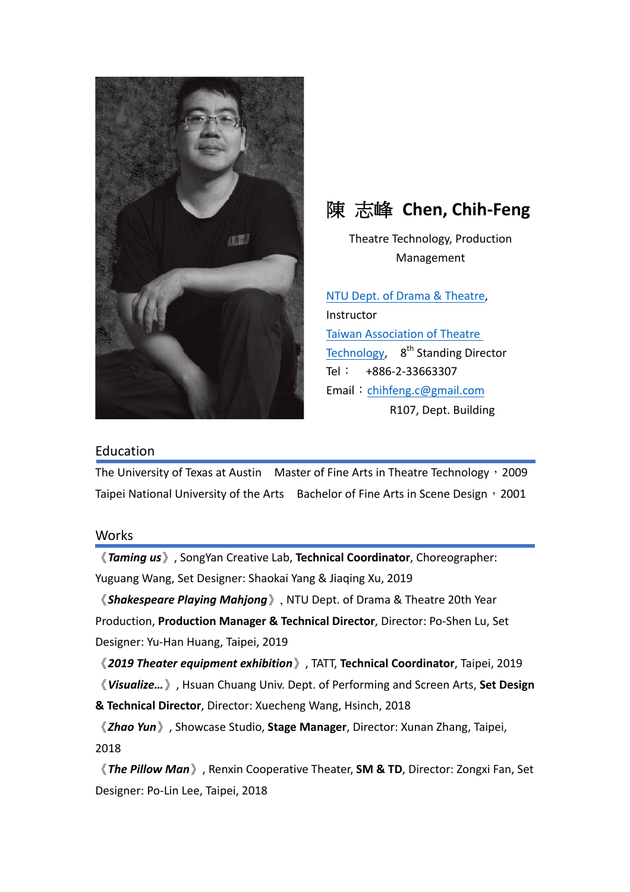



Theatre Technology, Production Management

NTU Dept. of Drama & Theatre, **Instructor** Taiwan Association of Theatre Technology,  $8<sup>th</sup>$  Standing Director Tel: +886-2-33663307 Email: chihfeng.c@gmail.com R107, Dept. Building

## Education

The University of Texas at Austin Master of Fine Arts in Theatre Technology, 2009 Taipei National University of the Arts Bachelor of Fine Arts in Scene Design, 2001

## Works

《*Taming us*》, SongYan Creative Lab, **Technical Coordinator**, Choreographer: Yuguang Wang, Set Designer: Shaokai Yang & Jiaqing Xu, 2019

《*Shakespeare Playing Mahjong*》, NTU Dept. of Drama & Theatre 20th Year Production, **Production Manager & Technical Director**, Director: Po-Shen Lu, Set Designer: Yu-Han Huang, Taipei, 2019

《*2019 Theater equipment exhibition*》, TATT, **Technical Coordinator**, Taipei, 2019

《 Visualize... 》, Hsuan Chuang Univ. Dept. of Performing and Screen Arts, Set Design **& Technical Director**, Director: Xuecheng Wang, Hsinch, 2018

《*Zhao Yun*》, Showcase Studio, **Stage Manager**, Director: Xunan Zhang, Taipei, 2018

**《The Pillow Man**》, Renxin Cooperative Theater, **SM & TD**, Director: Zongxi Fan, Set Designer: Po-Lin Lee, Taipei, 2018